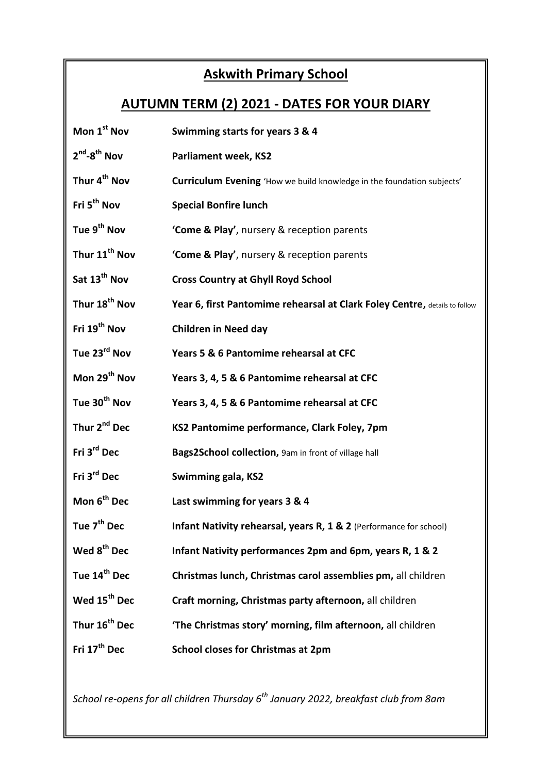## **Askwith Primary School**

## **AUTUMN TERM (2) 2021 - DATES FOR YOUR DIARY**

| Mon 1 <sup>st</sup> Nov   | Swimming starts for years 3 & 4                                            |
|---------------------------|----------------------------------------------------------------------------|
| $2^{nd} - 8^{th}$ Nov     | <b>Parliament week, KS2</b>                                                |
| Thur 4 <sup>th</sup> Nov  | Curriculum Evening 'How we build knowledge in the foundation subjects'     |
| Fri 5 <sup>th</sup> Nov   | <b>Special Bonfire lunch</b>                                               |
| Tue 9 <sup>th</sup> Nov   | 'Come & Play', nursery & reception parents                                 |
| Thur 11 <sup>th</sup> Nov | 'Come & Play', nursery & reception parents                                 |
| Sat 13 <sup>th</sup> Nov  | <b>Cross Country at Ghyll Royd School</b>                                  |
| Thur 18 <sup>th</sup> Nov | Year 6, first Pantomime rehearsal at Clark Foley Centre, details to follow |
| Fri 19 <sup>th</sup> Nov  | <b>Children in Need day</b>                                                |
| Tue 23 <sup>rd</sup> Nov  | Years 5 & 6 Pantomime rehearsal at CFC                                     |
| Mon 29 <sup>th</sup> Nov  | Years 3, 4, 5 & 6 Pantomime rehearsal at CFC                               |
| Tue 30 <sup>th</sup> Nov  | Years 3, 4, 5 & 6 Pantomime rehearsal at CFC                               |
| Thur 2 <sup>nd</sup> Dec  | KS2 Pantomime performance, Clark Foley, 7pm                                |
| Fri 3 <sup>rd</sup> Dec   | Bags2School collection, 9am in front of village hall                       |
| Fri 3 <sup>rd</sup> Dec   | Swimming gala, KS2                                                         |
| Mon 6 <sup>th</sup> Dec   | Last swimming for years 3 & 4                                              |
| Tue 7 <sup>th</sup> Dec   | Infant Nativity rehearsal, years R, 1 & 2 (Performance for school)         |
| Wed 8 <sup>th</sup> Dec   | Infant Nativity performances 2pm and 6pm, years R, 1 & 2                   |
| Tue 14 <sup>th</sup> Dec  | Christmas lunch, Christmas carol assemblies pm, all children               |
| Wed 15 <sup>th</sup> Dec  | Craft morning, Christmas party afternoon, all children                     |
| Thur 16 <sup>th</sup> Dec | 'The Christmas story' morning, film afternoon, all children                |
| Fri 17 <sup>th</sup> Dec  | <b>School closes for Christmas at 2pm</b>                                  |

*School re-opens for all children Thursday 6th January 2022, breakfast club from 8am*